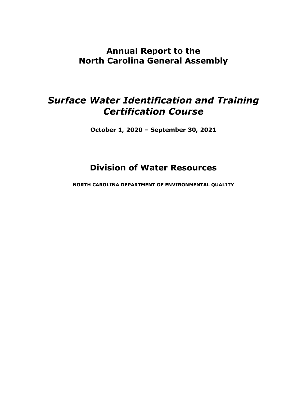## **Annual Report to the North Carolina General Assembly**

## *Surface Water Identification and Training Certification Course*

**October 1, 2020 – September 30, 2021**

## **Division of Water Resources**

**NORTH CAROLINA DEPARTMENT OF ENVIRONMENTAL QUALITY**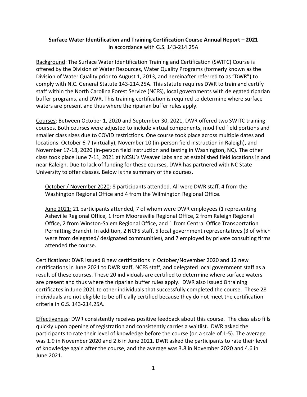## **Surface Water Identification and Training Certification Course Annual Report – 2021** In accordance with G.S. 143-214.25A

Background: The Surface Water Identification Training and Certification (SWITC) Course is offered by the Division of Water Resources, Water Quality Programs (formerly known as the Division of Water Quality prior to August 1, 2013, and hereinafter referred to as "DWR") to comply with N.C. General Statute 143-214.25A. This statute requires DWR to train and certify staff within the North Carolina Forest Service (NCFS), local governments with delegated riparian buffer programs, and DWR. This training certification is required to determine where surface waters are present and thus where the riparian buffer rules apply.

Courses: Between October 1, 2020 and September 30, 2021, DWR offered two SWITC training courses. Both courses were adjusted to include virtual components, modified field portions and smaller class sizes due to COVID restrictions. One course took place across multiple dates and locations: October 6-7 (virtually), November 10 (in-person field instruction in Raleigh), and November 17-18, 2020 (in-person field instruction and testing in Washington, NC). The other class took place June 7-11, 2021 at NCSU's Weaver Labs and at established field locations in and near Raleigh. Due to lack of funding for these courses, DWR has partnered with NC State University to offer classes. Below is the summary of the courses.

October / November 2020: 8 participants attended. All were DWR staff, 4 from the Washington Regional Office and 4 from the Wilmington Regional Office.

June 2021: 21 participants attended, 7 of whom were DWR employees (1 representing Asheville Regional Office, 1 from Mooresville Regional Office, 2 from Raleigh Regional Office, 2 from Winston-Salem Regional Office, and 1 from Central Office Transportation Permitting Branch). In addition, 2 NCFS staff, 5 local government representatives (3 of which were from delegated/ designated communities), and 7 employed by private consulting firms attended the course.

Certifications: DWR issued 8 new certifications in October/November 2020 and 12 new certifications in June 2021 to DWR staff, NCFS staff, and delegated local government staff as a result of these courses. These 20 individuals are certified to determine where surface waters are present and thus where the riparian buffer rules apply. DWR also issued 8 training certificates in June 2021 to other individuals that successfully completed the course. These 28 individuals are not eligible to be officially certified because they do not meet the certification criteria in G.S. 143-214.25A.

Effectiveness: DWR consistently receives positive feedback about this course. The class also fills quickly upon opening of registration and consistently carries a waitlist. DWR asked the participants to rate their level of knowledge before the course (on a scale of 1-5). The average was 1.9 in November 2020 and 2.6 in June 2021. DWR asked the participants to rate their level of knowledge again after the course, and the average was 3.8 in November 2020 and 4.6 in June 2021.